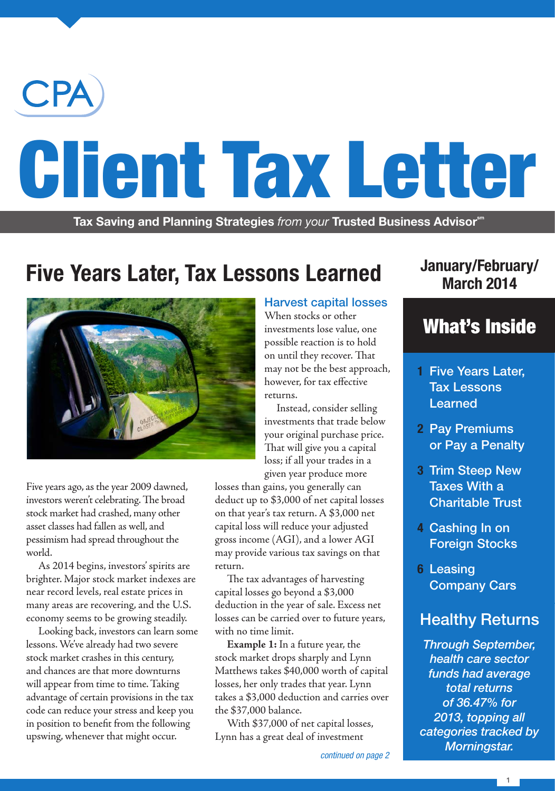

# Client Tax Letter

**Tax Saving and Planning Strategies** from your Trusted Business Advisor<sup>sm</sup>

# **Five Years Later, Tax Lessons Learned**



Five years ago, as the year 2009 dawned, investors weren't celebrating. The broad stock market had crashed, many other asset classes had fallen as well, and pessimism had spread throughout the world.

As 2014 begins, investors' spirits are brighter. Major stock market indexes are near record levels, real estate prices in many areas are recovering, and the U.S. economy seems to be growing steadily.

Looking back, investors can learn some lessons. We've already had two severe stock market crashes in this century, and chances are that more downturns will appear from time to time. Taking advantage of certain provisions in the tax code can reduce your stress and keep you in position to benefit from the following upswing, whenever that might occur.

### Harvest capital losses

When stocks or other investments lose value, one possible reaction is to hold on until they recover. That may not be the best approach, however, for tax effective returns.

Instead, consider selling investments that trade below your original purchase price. That will give you a capital loss; if all your trades in a given year produce more

losses than gains, you generally can deduct up to \$3,000 of net capital losses on that year's tax return. A \$3,000 net capital loss will reduce your adjusted gross income (AGI), and a lower AGI may provide various tax savings on that return.

The tax advantages of harvesting capital losses go beyond a \$3,000 deduction in the year of sale. Excess net losses can be carried over to future years, with no time limit.

**Example 1:** In a future year, the stock market drops sharply and Lynn Matthews takes \$40,000 worth of capital losses, her only trades that year. Lynn takes a \$3,000 deduction and carries over the \$37,000 balance.

With \$37,000 of net capital losses, Lynn has a great deal of investment

### **January/February/ March 2014**

### What's Inside

- **1** Five Years Later, Tax Lessons Learned
- **2** Pay Premiums or Pay a Penalty
- **3** Trim Steep New Taxes With a Charitable Trust
- **4** Cashing In on Foreign Stocks
- **6** Leasing Company Cars

### Healthy Returns

*Through September, health care sector funds had average total returns of 36.47% for 2013, topping all categories tracked by Morningstar. continued on page 2*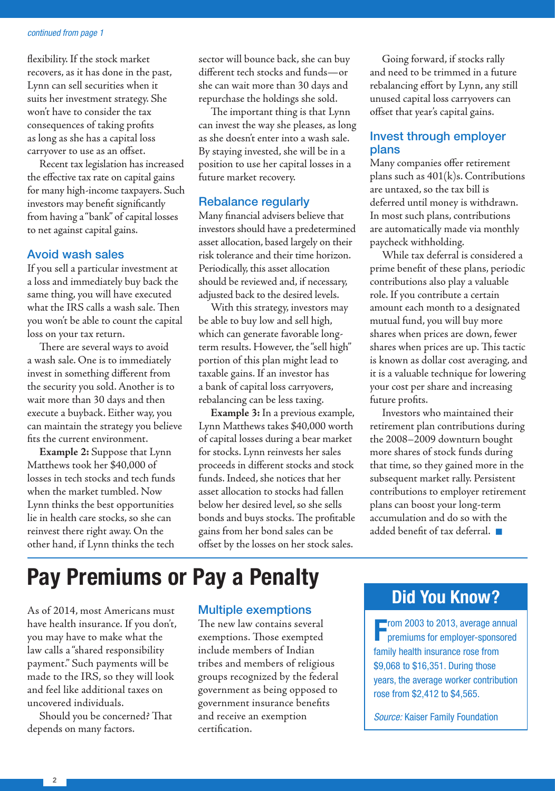#### *continued from page 1*

flexibility. If the stock market recovers, as it has done in the past, Lynn can sell securities when it suits her investment strategy. She won't have to consider the tax consequences of taking profits as long as she has a capital loss carryover to use as an offset.

Recent tax legislation has increased the effective tax rate on capital gains for many high-income taxpayers. Such investors may benefit significantly from having a "bank" of capital losses to net against capital gains.

### Avoid wash sales

If you sell a particular investment at a loss and immediately buy back the same thing, you will have executed what the IRS calls a wash sale. Then you won't be able to count the capital loss on your tax return.

There are several ways to avoid a wash sale. One is to immediately invest in something different from the security you sold. Another is to wait more than 30 days and then execute a buyback. Either way, you can maintain the strategy you believe fits the current environment.

**Example 2:** Suppose that Lynn Matthews took her \$40,000 of losses in tech stocks and tech funds when the market tumbled. Now Lynn thinks the best opportunities lie in health care stocks, so she can reinvest there right away. On the other hand, if Lynn thinks the tech

sector will bounce back, she can buy different tech stocks and funds—or she can wait more than 30 days and repurchase the holdings she sold.

The important thing is that Lynn can invest the way she pleases, as long as she doesn't enter into a wash sale. By staying invested, she will be in a position to use her capital losses in a future market recovery.

### Rebalance regularly

Many financial advisers believe that investors should have a predetermined asset allocation, based largely on their risk tolerance and their time horizon. Periodically, this asset allocation should be reviewed and, if necessary, adjusted back to the desired levels.

With this strategy, investors may be able to buy low and sell high, which can generate favorable longterm results. However, the "sell high" portion of this plan might lead to taxable gains. If an investor has a bank of capital loss carryovers, rebalancing can be less taxing.

**Example 3:** In a previous example, Lynn Matthews takes \$40,000 worth of capital losses during a bear market for stocks. Lynn reinvests her sales proceeds in different stocks and stock funds. Indeed, she notices that her asset allocation to stocks had fallen below her desired level, so she sells bonds and buys stocks. The profitable gains from her bond sales can be offset by the losses on her stock sales.

Going forward, if stocks rally and need to be trimmed in a future rebalancing effort by Lynn, any still unused capital loss carryovers can offset that year's capital gains.

### Invest through employer plans

Many companies offer retirement plans such as  $401(k)s$ . Contributions are untaxed, so the tax bill is deferred until money is withdrawn. In most such plans, contributions are automatically made via monthly paycheck withholding.

While tax deferral is considered a prime benefit of these plans, periodic contributions also play a valuable role. If you contribute a certain amount each month to a designated mutual fund, you will buy more shares when prices are down, fewer shares when prices are up. This tactic is known as dollar cost averaging, and it is a valuable technique for lowering your cost per share and increasing future profits.

Investors who maintained their retirement plan contributions during the 2008–2009 downturn bought more shares of stock funds during that time, so they gained more in the subsequent market rally. Persistent contributions to employer retirement plans can boost your long-term accumulation and do so with the added benefit of tax deferral.  $\blacksquare$ 

## **Pay Premiums or Pay a Penalty**

As of 2014, most Americans must have health insurance. If you don't, you may have to make what the law calls a "shared responsibility payment." Such payments will be made to the IRS, so they will look and feel like additional taxes on uncovered individuals.

Should you be concerned? That depends on many factors.

### Multiple exemptions

The new law contains several exemptions. Those exempted include members of Indian tribes and members of religious groups recognized by the federal government as being opposed to government insurance benefits and receive an exemption certification.

### **Did You Know?**

**Form 2003 to 2013, average annual premiums for employer-sponsored** From 2003 to 2013, average annual family health insurance rose from \$9,068 to \$16,351. During those years, the average worker contribution rose from \$2,412 to \$4,565.

*Source:* Kaiser Family Foundation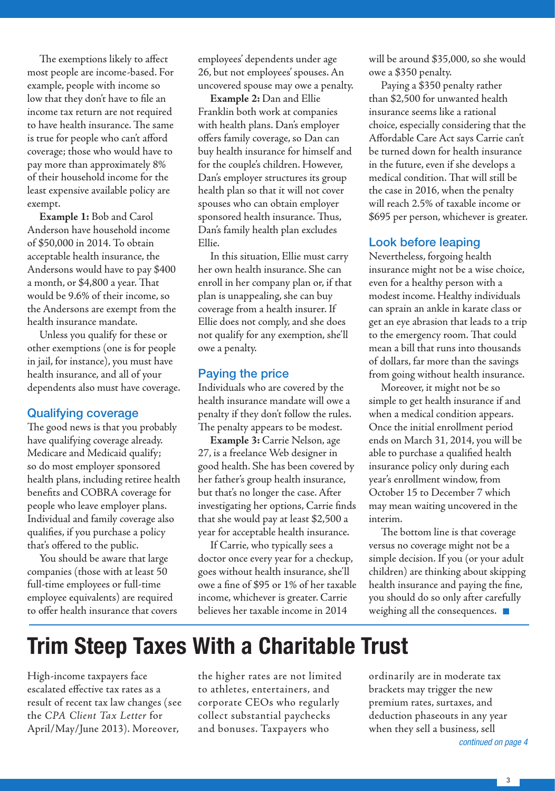The exemptions likely to affect most people are income-based. For example, people with income so low that they don't have to file an income tax return are not required to have health insurance. The same is true for people who can't afford coverage; those who would have to pay more than approximately 8% of their household income for the least expensive available policy are exempt.

**Example 1:** Bob and Carol Anderson have household income of \$50,000 in 2014. To obtain acceptable health insurance, the Andersons would have to pay \$400 a month, or \$4,800 a year. That would be 9.6% of their income, so the Andersons are exempt from the health insurance mandate.

Unless you qualify for these or other exemptions (one is for people in jail, for instance), you must have health insurance, and all of your dependents also must have coverage.

### Qualifying coverage

The good news is that you probably have qualifying coverage already. Medicare and Medicaid qualify; so do most employer sponsored health plans, including retiree health benefits and COBRA coverage for people who leave employer plans. Individual and family coverage also qualifies, if you purchase a policy that's offered to the public.

You should be aware that large companies (those with at least 50 full-time employees or full-time employee equivalents) are required to offer health insurance that covers employees' dependents under age 26, but not employees' spouses. An uncovered spouse may owe a penalty.

**Example 2:** Dan and Ellie Franklin both work at companies with health plans. Dan's employer offers family coverage, so Dan can buy health insurance for himself and for the couple's children. However, Dan's employer structures its group health plan so that it will not cover spouses who can obtain employer sponsored health insurance. Thus, Dan's family health plan excludes Ellie.

In this situation, Ellie must carry her own health insurance. She can enroll in her company plan or, if that plan is unappealing, she can buy coverage from a health insurer. If Ellie does not comply, and she does not qualify for any exemption, she'll owe a penalty.

### Paying the price

Individuals who are covered by the health insurance mandate will owe a penalty if they don't follow the rules. The penalty appears to be modest.

**Example 3:** Carrie Nelson, age 27, is a freelance Web designer in good health. She has been covered by her father's group health insurance, but that's no longer the case. After investigating her options, Carrie finds that she would pay at least \$2,500 a year for acceptable health insurance.

If Carrie, who typically sees a doctor once every year for a checkup, goes without health insurance, she'll owe a fine of \$95 or 1% of her taxable income, whichever is greater. Carrie believes her taxable income in 2014

will be around \$35,000, so she would owe a \$350 penalty.

Paying a \$350 penalty rather than \$2,500 for unwanted health insurance seems like a rational choice, especially considering that the Affordable Care Act says Carrie can't be turned down for health insurance in the future, even if she develops a medical condition. That will still be the case in 2016, when the penalty will reach 2.5% of taxable income or \$695 per person, whichever is greater.

### Look before leaping

Nevertheless, forgoing health insurance might not be a wise choice, even for a healthy person with a modest income. Healthy individuals can sprain an ankle in karate class or get an eye abrasion that leads to a trip to the emergency room. That could mean a bill that runs into thousands of dollars, far more than the savings from going without health insurance.

Moreover, it might not be so simple to get health insurance if and when a medical condition appears. Once the initial enrollment period ends on March 31, 2014, you will be able to purchase a qualified health insurance policy only during each year's enrollment window, from October 15 to December 7 which may mean waiting uncovered in the interim.

The bottom line is that coverage versus no coverage might not be a simple decision. If you (or your adult children) are thinking about skipping health insurance and paying the fine, you should do so only after carefully weighing all the consequences.  $\blacksquare$ 

# **Trim Steep Taxes With a Charitable Trust**

High-income taxpayers face escalated effective tax rates as a result of recent tax law changes (see the *CPA Client Tax Letter* for April/May/June 2013). Moreover,

the higher rates are not limited to athletes, entertainers, and corporate CEOs who regularly collect substantial paychecks and bonuses. Taxpayers who

ordinarily are in moderate tax brackets may trigger the new premium rates, surtaxes, and deduction phaseouts in any year when they sell a business, sell

*continued on page 4*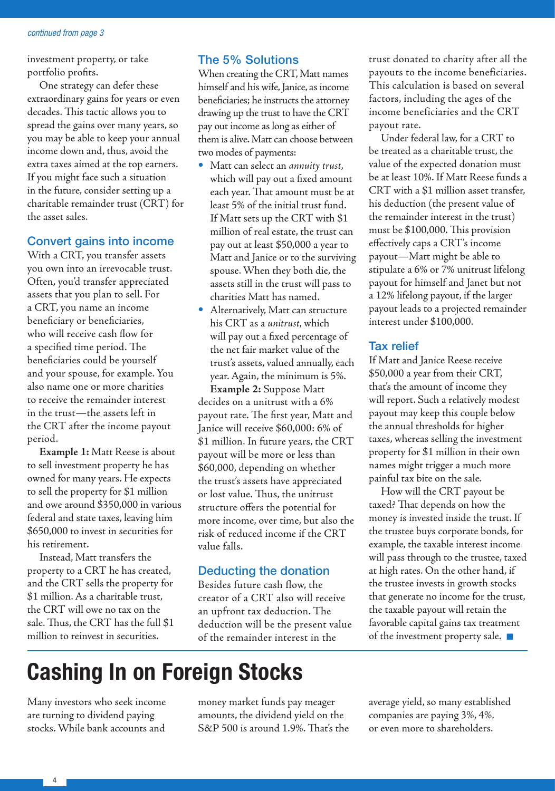#### *continued from page 3*

investment property, or take portfolio profits.

One strategy can defer these extraordinary gains for years or even decades. This tactic allows you to spread the gains over many years, so you may be able to keep your annual income down and, thus, avoid the extra taxes aimed at the top earners. If you might face such a situation in the future, consider setting up a charitable remainder trust (CRT) for the asset sales.

### Convert gains into income

With a CRT, you transfer assets you own into an irrevocable trust. Often, you'd transfer appreciated assets that you plan to sell. For a CRT, you name an income beneficiary or beneficiaries, who will receive cash flow for a specified time period. The beneficiaries could be yourself and your spouse, for example. You also name one or more charities to receive the remainder interest in the trust—the assets left in the CRT after the income payout period.

**Example 1:** Matt Reese is about to sell investment property he has owned for many years. He expects to sell the property for \$1 million and owe around \$350,000 in various federal and state taxes, leaving him \$650,000 to invest in securities for his retirement.

Instead, Matt transfers the property to a CRT he has created, and the CRT sells the property for \$1 million. As a charitable trust, the CRT will owe no tax on the sale. Thus, the CRT has the full \$1 million to reinvest in securities.

### The 5% Solutions

When creating the CRT, Matt names himself and his wife, Janice, as income beneficiaries; he instructs the attorney drawing up the trust to have the CRT pay out income as long as either of them is alive. Matt can choose between two modes of payments:

- Matt can select an *annuity trust*, which will pay out a fixed amount each year. That amount must be at least 5% of the initial trust fund. If Matt sets up the CRT with \$1 million of real estate, the trust can pay out at least \$50,000 a year to Matt and Janice or to the surviving spouse. When they both die, the assets still in the trust will pass to charities Matt has named.
- Alternatively, Matt can structure his CRT as a *unitrust*, which will pay out a fixed percentage of the net fair market value of the trust's assets, valued annually, each year. Again, the minimum is 5%.

**Example 2:** Suppose Matt decides on a unitrust with a 6% payout rate. The first year, Matt and Janice will receive \$60,000: 6% of \$1 million. In future years, the CRT payout will be more or less than \$60,000, depending on whether the trust's assets have appreciated or lost value. Thus, the unitrust structure offers the potential for more income, over time, but also the risk of reduced income if the CRT value falls.

### Deducting the donation

Besides future cash flow, the creator of a CRT also will receive an upfront tax deduction. The deduction will be the present value of the remainder interest in the

trust donated to charity after all the payouts to the income beneficiaries. This calculation is based on several factors, including the ages of the income beneficiaries and the CRT payout rate.

Under federal law, for a CRT to be treated as a charitable trust, the value of the expected donation must be at least 10%. If Matt Reese funds a CRT with a \$1 million asset transfer, his deduction (the present value of the remainder interest in the trust) must be \$100,000. This provision effectively caps a CRT's income payout—Matt might be able to stipulate a 6% or 7% unitrust lifelong payout for himself and Janet but not a 12% lifelong payout, if the larger payout leads to a projected remainder interest under \$100,000.

### Tax relief

If Matt and Janice Reese receive \$50,000 a year from their CRT, that's the amount of income they will report. Such a relatively modest payout may keep this couple below the annual thresholds for higher taxes, whereas selling the investment property for \$1 million in their own names might trigger a much more painful tax bite on the sale.

How will the CRT payout be taxed? That depends on how the money is invested inside the trust. If the trustee buys corporate bonds, for example, the taxable interest income will pass through to the trustee, taxed at high rates. On the other hand, if the trustee invests in growth stocks that generate no income for the trust, the taxable payout will retain the favorable capital gains tax treatment of the investment property sale.  $\blacksquare$ 

# **Cashing In on Foreign Stocks**

Many investors who seek income are turning to dividend paying stocks. While bank accounts and

money market funds pay meager amounts, the dividend yield on the S&P 500 is around 1.9%. That's the average yield, so many established companies are paying 3%, 4%, or even more to shareholders.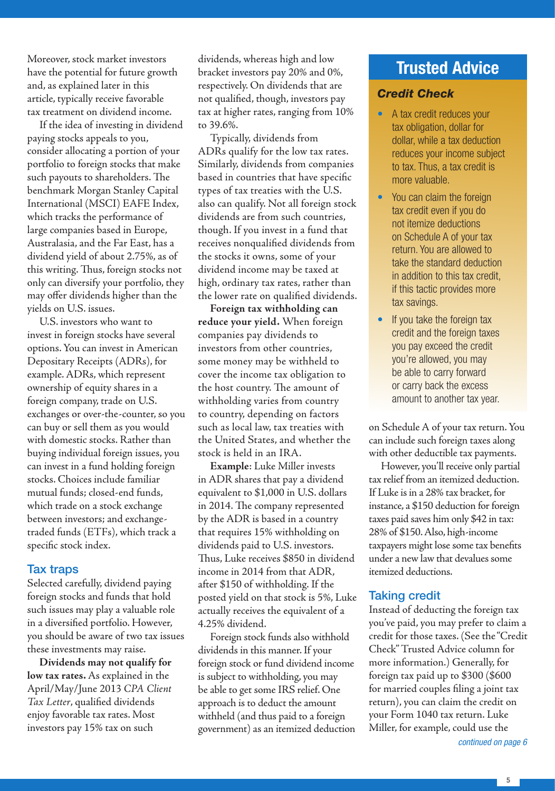Moreover, stock market investors have the potential for future growth and, as explained later in this article, typically receive favorable tax treatment on dividend income.

If the idea of investing in dividend paying stocks appeals to you, consider allocating a portion of your portfolio to foreign stocks that make such payouts to shareholders. The benchmark Morgan Stanley Capital International (MSCI) EAFE Index, which tracks the performance of large companies based in Europe, Australasia, and the Far East, has a dividend yield of about 2.75%, as of this writing. Thus, foreign stocks not only can diversify your portfolio, they may offer dividends higher than the yields on U.S. issues.

U.S. investors who want to invest in foreign stocks have several options. You can invest in American Depositary Receipts (ADRs), for example. ADRs, which represent ownership of equity shares in a foreign company, trade on U.S. exchanges or over-the-counter, so you can buy or sell them as you would with domestic stocks. Rather than buying individual foreign issues, you can invest in a fund holding foreign stocks. Choices include familiar mutual funds; closed-end funds, which trade on a stock exchange between investors; and exchangetraded funds (ETFs), which track a specific stock index.

### Tax traps

Selected carefully, dividend paying foreign stocks and funds that hold such issues may play a valuable role in a diversified portfolio. However, you should be aware of two tax issues these investments may raise.

**Dividends may not qualify for low tax rates.** As explained in the April/May/June 2013 *CPA Client Tax Letter*, qualified dividends enjoy favorable tax rates. Most investors pay 15% tax on such

dividends, whereas high and low bracket investors pay 20% and 0%, respectively. On dividends that are not qualified, though, investors pay tax at higher rates, ranging from 10% to 39.6%.

Typically, dividends from ADRs qualify for the low tax rates. Similarly, dividends from companies based in countries that have specific types of tax treaties with the U.S. also can qualify. Not all foreign stock dividends are from such countries, though. If you invest in a fund that receives nonqualified dividends from the stocks it owns, some of your dividend income may be taxed at high, ordinary tax rates, rather than the lower rate on qualified dividends.

**Foreign tax withholding can reduce your yield.** When foreign companies pay dividends to investors from other countries, some money may be withheld to cover the income tax obligation to the host country. The amount of withholding varies from country to country, depending on factors such as local law, tax treaties with the United States, and whether the stock is held in an IRA.

**Example**: Luke Miller invests in ADR shares that pay a dividend equivalent to \$1,000 in U.S. dollars in 2014. The company represented by the ADR is based in a country that requires 15% withholding on dividends paid to U.S. investors. Thus, Luke receives \$850 in dividend income in 2014 from that ADR, after \$150 of withholding. If the posted yield on that stock is 5%, Luke actually receives the equivalent of a 4.25% dividend.

Foreign stock funds also withhold dividends in this manner. If your foreign stock or fund dividend income is subject to withholding, you may be able to get some IRS relief. One approach is to deduct the amount withheld (and thus paid to a foreign government) as an itemized deduction

### **Trusted Advice**

### *Credit Check*

- A tax credit reduces your tax obligation, dollar for dollar, while a tax deduction reduces your income subject to tax. Thus, a tax credit is more valuable.
- You can claim the foreign tax credit even if you do not itemize deductions on Schedule A of your tax return. You are allowed to take the standard deduction in addition to this tax credit, if this tactic provides more tax savings.
- If you take the foreign tax credit and the foreign taxes you pay exceed the credit you're allowed, you may be able to carry forward or carry back the excess amount to another tax year.

on Schedule A of your tax return. You can include such foreign taxes along with other deductible tax payments.

However, you'll receive only partial tax relief from an itemized deduction. If Luke is in a 28% tax bracket, for instance, a \$150 deduction for foreign taxes paid saves him only \$42 in tax: 28% of \$150. Also, high-income taxpayers might lose some tax benefits under a new law that devalues some itemized deductions.

### Taking credit

Instead of deducting the foreign tax you've paid, you may prefer to claim a credit for those taxes. (See the "Credit Check" Trusted Advice column for more information.) Generally, for foreign tax paid up to \$300 (\$600 for married couples filing a joint tax return), you can claim the credit on your Form 1040 tax return. Luke Miller, for example, could use the

*continued on page 6*